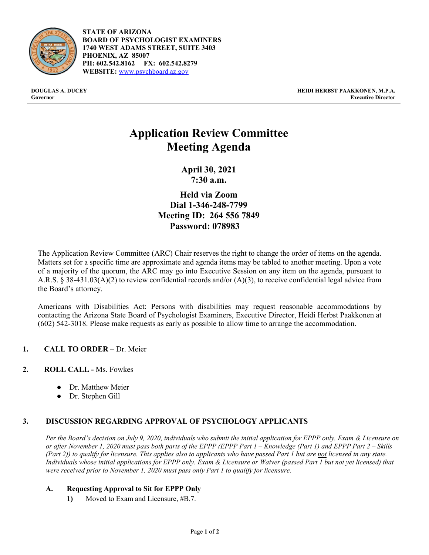

**STATE OF ARIZONA BOARD OF PSYCHOLOGIST EXAMINERS 1740 WEST ADAMS STREET, SUITE 3403 PHOENIX, AZ 85007 PH: 602.542.8162 FX: 602.542.8279 WEBSITE:** [www.psychboard.az.gov](http://www.psychboard.az.gov/)

**DOUGLAS A. DUCEY HEIDI HERBST PAAKKONEN, M.P.A. Governor Executive Director**

# **Application Review Committee Meeting Agenda**

**April 30, 2021 7:30 a.m.**

**Held via Zoom Dial 1-346-248-7799 Meeting ID: 264 556 7849 Password: 078983**

The Application Review Committee (ARC) Chair reserves the right to change the order of items on the agenda. Matters set for a specific time are approximate and agenda items may be tabled to another meeting. Upon a vote of a majority of the quorum, the ARC may go into Executive Session on any item on the agenda, pursuant to A.R.S. § 38-431.03(A)(2) to review confidential records and/or (A)(3), to receive confidential legal advice from the Board's attorney.

Americans with Disabilities Act: Persons with disabilities may request reasonable accommodations by contacting the Arizona State Board of Psychologist Examiners, Executive Director, Heidi Herbst Paakkonen at (602) 542-3018. Please make requests as early as possible to allow time to arrange the accommodation.

- **1. CALL TO ORDER**  Dr. Meier
- **2. ROLL CALL -** Ms. Fowkes
	- Dr. Matthew Meier
	- Dr. Stephen Gill

## **3. DISCUSSION REGARDING APPROVAL OF PSYCHOLOGY APPLICANTS**

*Per the Board's decision on July 9, 2020, individuals who submit the initial application for EPPP only, Exam & Licensure on or after November 1, 2020 must pass both parts of the EPPP (EPPP Part 1 – Knowledge (Part 1) and EPPP Part 2 – Skills (Part 2)) to qualify for licensure. This applies also to applicants who have passed Part 1 but are not licensed in any state. Individuals whose initial applications for EPPP only. Exam & Licensure or Waiver (passed Part 1 but not yet licensed) that were received prior to November 1, 2020 must pass only Part 1 to qualify for licensure.* 

## **A. Requesting Approval to Sit for EPPP Only**

**1)** Moved to Exam and Licensure, #B.7.